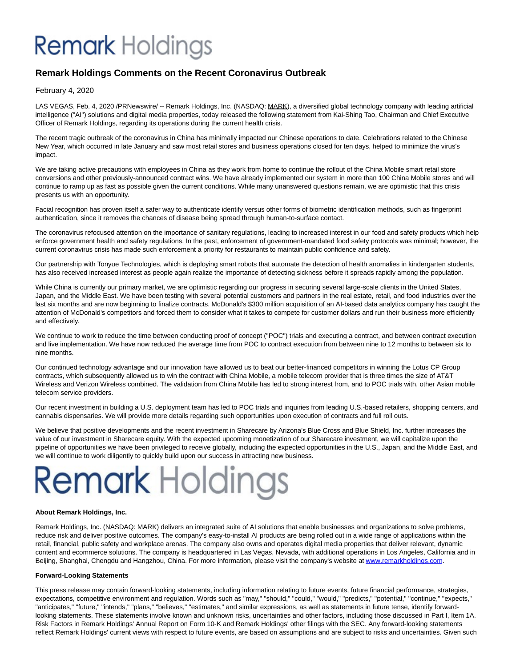## **Remark** Holdings

### **Remark Holdings Comments on the Recent Coronavirus Outbreak**

February 4, 2020

LAS VEGAS, Feb. 4, 2020 /PRNewswire/ -- Remark Holdings, Inc. (NASDAQ: MARK), a diversified global technology company with leading artificial intelligence ("AI") solutions and digital media properties, today released the following statement from Kai-Shing Tao, Chairman and Chief Executive Officer of Remark Holdings, regarding its operations during the current health crisis.

The recent tragic outbreak of the coronavirus in China has minimally impacted our Chinese operations to date. Celebrations related to the Chinese New Year, which occurred in late January and saw most retail stores and business operations closed for ten days, helped to minimize the virus's impact.

We are taking active precautions with employees in China as they work from home to continue the rollout of the China Mobile smart retail store conversions and other previously-announced contract wins. We have already implemented our system in more than 100 China Mobile stores and will continue to ramp up as fast as possible given the current conditions. While many unanswered questions remain, we are optimistic that this crisis presents us with an opportunity.

Facial recognition has proven itself a safer way to authenticate identify versus other forms of biometric identification methods, such as fingerprint authentication, since it removes the chances of disease being spread through human-to-surface contact.

The coronavirus refocused attention on the importance of sanitary regulations, leading to increased interest in our food and safety products which help enforce government health and safety regulations. In the past, enforcement of government-mandated food safety protocols was minimal; however, the current coronavirus crisis has made such enforcement a priority for restaurants to maintain public confidence and safety.

Our partnership with Tonyue Technologies, which is deploying smart robots that automate the detection of health anomalies in kindergarten students, has also received increased interest as people again realize the importance of detecting sickness before it spreads rapidly among the population.

While China is currently our primary market, we are optimistic regarding our progress in securing several large-scale clients in the United States, Japan, and the Middle East. We have been testing with several potential customers and partners in the real estate, retail, and food industries over the last six months and are now beginning to finalize contracts. McDonald's \$300 million acquisition of an AI-based data analytics company has caught the attention of McDonald's competitors and forced them to consider what it takes to compete for customer dollars and run their business more efficiently and effectively.

We continue to work to reduce the time between conducting proof of concept ("POC") trials and executing a contract, and between contract execution and live implementation. We have now reduced the average time from POC to contract execution from between nine to 12 months to between six to nine months.

Our continued technology advantage and our innovation have allowed us to beat our better-financed competitors in winning the Lotus CP Group contracts, which subsequently allowed us to win the contract with China Mobile, a mobile telecom provider that is three times the size of AT&T Wireless and Verizon Wireless combined. The validation from China Mobile has led to strong interest from, and to POC trials with, other Asian mobile telecom service providers.

Our recent investment in building a U.S. deployment team has led to POC trials and inquiries from leading U.S.-based retailers, shopping centers, and cannabis dispensaries. We will provide more details regarding such opportunities upon execution of contracts and full roll outs.

We believe that positive developments and the recent investment in Sharecare by Arizona's Blue Cross and Blue Shield, Inc. further increases the value of our investment in Sharecare equity. With the expected upcoming monetization of our Sharecare investment, we will capitalize upon the pipeline of opportunities we have been privileged to receive globally, including the expected opportunities in the U.S., Japan, and the Middle East, and we will continue to work diligently to quickly build upon our success in attracting new business.

# **Remark Holdings**

#### **About Remark Holdings, Inc.**

Remark Holdings, Inc. (NASDAQ: MARK) delivers an integrated suite of AI solutions that enable businesses and organizations to solve problems, reduce risk and deliver positive outcomes. The company's easy-to-install AI products are being rolled out in a wide range of applications within the retail, financial, public safety and workplace arenas. The company also owns and operates digital media properties that deliver relevant, dynamic content and ecommerce solutions. The company is headquartered in Las Vegas, Nevada, with additional operations in Los Angeles, California and in Beijing, Shanghai, Chengdu and Hangzhou, China. For more information, please visit the company's website a[t www.remarkholdings.com.](http://www.remarkholdings.com/)

#### **Forward-Looking Statements**

This press release may contain forward-looking statements, including information relating to future events, future financial performance, strategies, expectations, competitive environment and regulation. Words such as "may," "should," "could," "would," "predicts," "potential," "continue," "expects," "anticipates," "future," "intends," "plans," "believes," "estimates," and similar expressions, as well as statements in future tense, identify forwardlooking statements. These statements involve known and unknown risks, uncertainties and other factors, including those discussed in Part I, Item 1A. Risk Factors in Remark Holdings' Annual Report on Form 10-K and Remark Holdings' other filings with the SEC. Any forward-looking statements reflect Remark Holdings' current views with respect to future events, are based on assumptions and are subject to risks and uncertainties. Given such